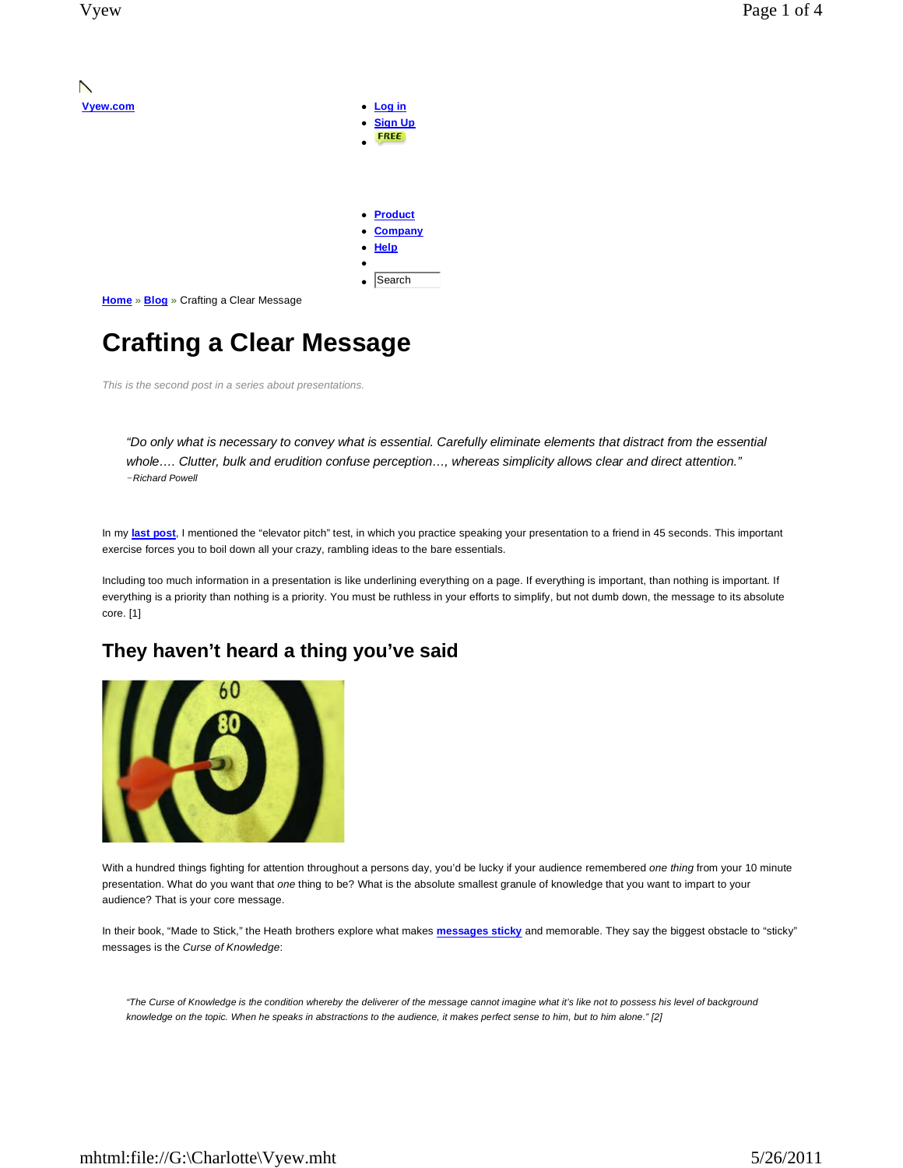N

| Vyew.com                                             | • Log in                    |
|------------------------------------------------------|-----------------------------|
|                                                      | • Sign Up                   |
|                                                      | <b>FREE</b>                 |
|                                                      |                             |
|                                                      |                             |
|                                                      |                             |
|                                                      |                             |
|                                                      | <b>Product</b><br>$\bullet$ |
|                                                      | • Company                   |
|                                                      | Help<br>$\bullet$           |
|                                                      |                             |
|                                                      |                             |
|                                                      | Search<br>$\bullet$         |
| <b>Home</b> » <b>Blog</b> » Crafting a Clear Message |                             |
|                                                      |                             |

# **Crafting a Clear Message**

This is the second post in a series about presentations.

"Do only what is necessary to convey what is essential. Carefully eliminate elements that distract from the essential whole…. Clutter, bulk and erudition confuse perception…, whereas simplicity allows clear and direct attention." *−*Richard Powell

In my **last post**, I mentioned the "elevator pitch" test, in which you practice speaking your presentation to a friend in 45 seconds. This important exercise forces you to boil down all your crazy, rambling ideas to the bare essentials.

Including too much information in a presentation is like underlining everything on a page. If everything is important, than nothing is important. If everything is a priority than nothing is a priority. You must be ruthless in your efforts to simplify, but not dumb down, the message to its absolute core. [1]

### **They haven't heard a thing you've said**



With a hundred things fighting for attention throughout a persons day, you'd be lucky if your audience remembered one thing from your 10 minute presentation. What do you want that one thing to be? What is the absolute smallest granule of knowledge that you want to impart to your audience? That is your core message.

In their book, "Made to Stick," the Heath brothers explore what makes **messages sticky** and memorable. They say the biggest obstacle to "sticky" messages is the Curse of Knowledge:

"The Curse of Knowledge is the condition whereby the deliverer of the message cannot imagine what it's like not to possess his level of background knowledge on the topic. When he speaks in abstractions to the audience, it makes perfect sense to him, but to him alone." [2]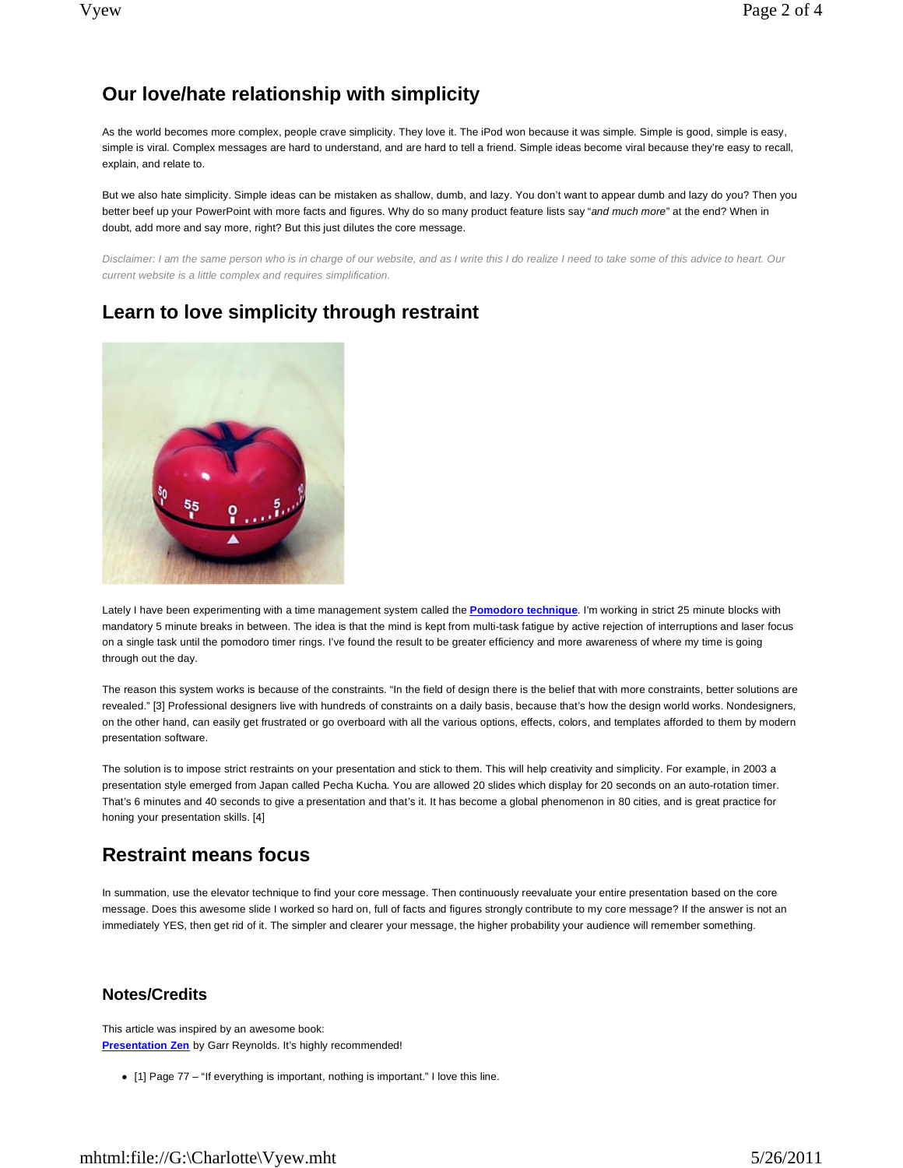# **Our love/hate relationship with simplicity**

As the world becomes more complex, people crave simplicity. They love it. The iPod won because it was simple. Simple is good, simple is easy, simple is viral. Complex messages are hard to understand, and are hard to tell a friend. Simple ideas become viral because they're easy to recall, explain, and relate to.

But we also hate simplicity. Simple ideas can be mistaken as shallow, dumb, and lazy. You don't want to appear dumb and lazy do you? Then you better beef up your PowerPoint with more facts and figures. Why do so many product feature lists say "and much more" at the end? When in doubt, add more and say more, right? But this just dilutes the core message.

Disclaimer: I am the same person who is in charge of our website, and as I write this I do realize I need to take some of this advice to heart. Our current website is a little complex and requires simplification.

# **Learn to love simplicity through restraint**



Lately I have been experimenting with a time management system called the **Pomodoro technique**. I'm working in strict 25 minute blocks with mandatory 5 minute breaks in between. The idea is that the mind is kept from multi-task fatigue by active rejection of interruptions and laser focus on a single task until the pomodoro timer rings. I've found the result to be greater efficiency and more awareness of where my time is going through out the day.

The reason this system works is because of the constraints. "In the field of design there is the belief that with more constraints, better solutions are revealed." [3] Professional designers live with hundreds of constraints on a daily basis, because that's how the design world works. Nondesigners, on the other hand, can easily get frustrated or go overboard with all the various options, effects, colors, and templates afforded to them by modern presentation software.

The solution is to impose strict restraints on your presentation and stick to them. This will help creativity and simplicity. For example, in 2003 a presentation style emerged from Japan called Pecha Kucha. You are allowed 20 slides which display for 20 seconds on an auto-rotation timer. That's 6 minutes and 40 seconds to give a presentation and that's it. It has become a global phenomenon in 80 cities, and is great practice for honing your presentation skills. [4]

# **Restraint means focus**

In summation, use the elevator technique to find your core message. Then continuously reevaluate your entire presentation based on the core message. Does this awesome slide I worked so hard on, full of facts and figures strongly contribute to my core message? If the answer is not an immediately YES, then get rid of it. The simpler and clearer your message, the higher probability your audience will remember something.

### **Notes/Credits**

This article was inspired by an awesome book: **Presentation Zen** by Garr Reynolds. It's highly recommended!

[1] Page 77 – "If everything is important, nothing is important." I love this line.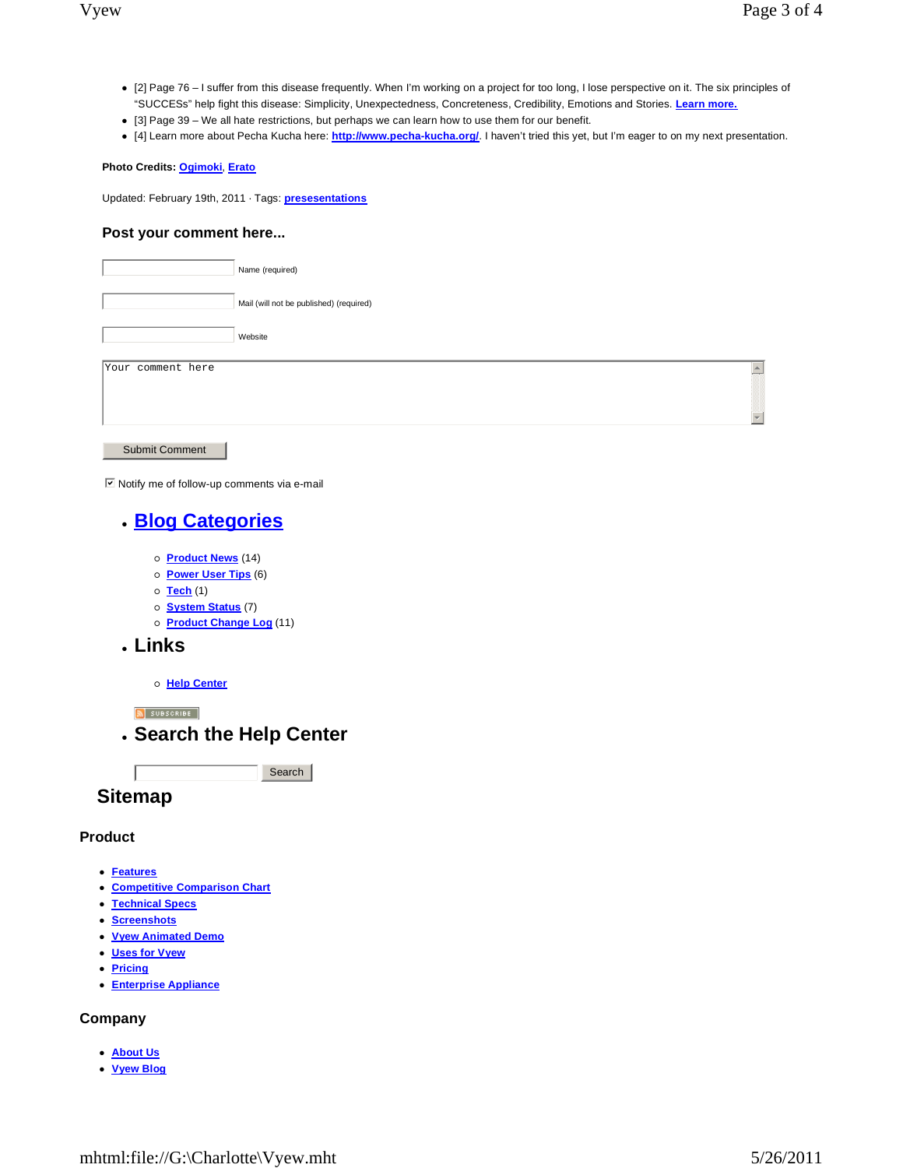- [2] Page 76 I suffer from this disease frequently. When I'm working on a project for too long, I lose perspective on it. The six principles of "SUCCESs" help fight this disease: Simplicity, Unexpectedness, Concreteness, Credibility, Emotions and Stories. **Learn more.**
- [3] Page 39 We all hate restrictions, but perhaps we can learn how to use them for our benefit.
- [4] Learn more about Pecha Kucha here: **http://www.pecha-kucha.org/**. I haven't tried this yet, but I'm eager to on my next presentation.

#### **Photo Credits: Ogimoki**, **Erato**

Updated: February 19th, 2011 · Tags: **presesentations**

#### **Post your comment here...**

| Name (required)                                         |                  |
|---------------------------------------------------------|------------------|
| Mail (will not be published) (required)                 |                  |
| Website                                                 |                  |
| Your comment here                                       | $\blacktriangle$ |
|                                                         |                  |
| <b>Submit Comment</b>                                   |                  |
| ☑ Notify me of follow-up comments via e-mail            |                  |
| <b>. Blog Categories</b>                                |                  |
| o <b>Product News</b> (14)                              |                  |
| o Power User Tips (6)<br>$\circ$ Tech (1)               |                  |
| o <b>System Status</b> (7)<br>o Product Change Log (11) |                  |
| . Links                                                 |                  |
| o Help Center                                           |                  |
| N SUBSCRIBE                                             |                  |
| . Search the Help Center                                |                  |
| Search                                                  |                  |
| <b>Sitemap</b>                                          |                  |

#### **Product**

- **Features**
- **Competitive Comparison Chart**
- **Technical Specs**
- **Screenshots**
- **Vyew Animated Demo**
- **Uses for Vyew**
- **Pricing**
- **Enterprise Appliance**

#### **Company**

- **About Us**
- **Vyew Blog**